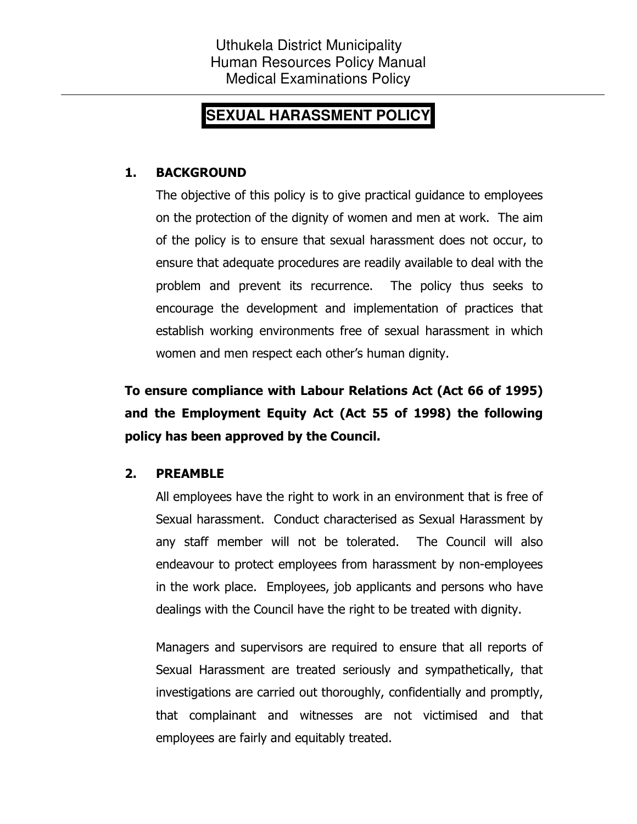# **SEXUAL HARASSMENT POLICY**

# 1. BACKGROUND

The objective of this policy is to give practical guidance to employees on the protection of the dignity of women and men at work. The aim of the policy is to ensure that sexual harassment does not occur, to ensure that adequate procedures are readily available to deal with the problem and prevent its recurrence. The policy thus seeks to encourage the development and implementation of practices that establish working environments free of sexual harassment in which women and men respect each other's human dignity.

To ensure compliance with Labour Relations Act (Act 66 of 1995) and the Employment Equity Act (Act 55 of 1998) the following policy has been approved by the Council.

# 2. PREAMBLE

All employees have the right to work in an environment that is free of Sexual harassment. Conduct characterised as Sexual Harassment by any staff member will not be tolerated. The Council will also endeavour to protect employees from harassment by non-employees in the work place. Employees, job applicants and persons who have dealings with the Council have the right to be treated with dignity.

Managers and supervisors are required to ensure that all reports of Sexual Harassment are treated seriously and sympathetically, that investigations are carried out thoroughly, confidentially and promptly, that complainant and witnesses are not victimised and that employees are fairly and equitably treated.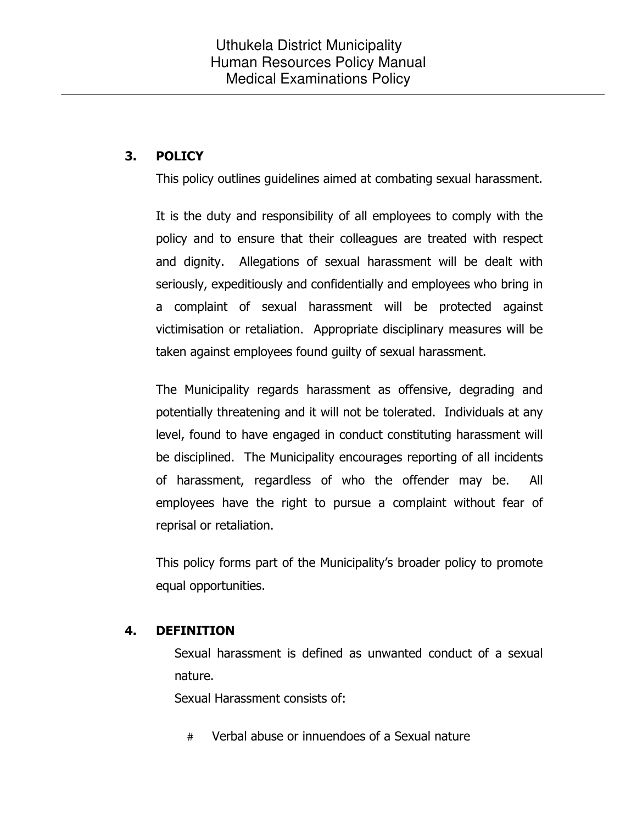# 3. POLICY

This policy outlines guidelines aimed at combating sexual harassment.

It is the duty and responsibility of all employees to comply with the policy and to ensure that their colleagues are treated with respect and dignity. Allegations of sexual harassment will be dealt with seriously, expeditiously and confidentially and employees who bring in a complaint of sexual harassment will be protected against victimisation or retaliation. Appropriate disciplinary measures will be taken against employees found guilty of sexual harassment.

The Municipality regards harassment as offensive, degrading and potentially threatening and it will not be tolerated. Individuals at any level, found to have engaged in conduct constituting harassment will be disciplined. The Municipality encourages reporting of all incidents of harassment, regardless of who the offender may be. All employees have the right to pursue a complaint without fear of reprisal or retaliation.

This policy forms part of the Municipality's broader policy to promote equal opportunities.

# 4. DEFINITION

 Sexual harassment is defined as unwanted conduct of a sexual nature.

Sexual Harassment consists of:

# Verbal abuse or innuendoes of a Sexual nature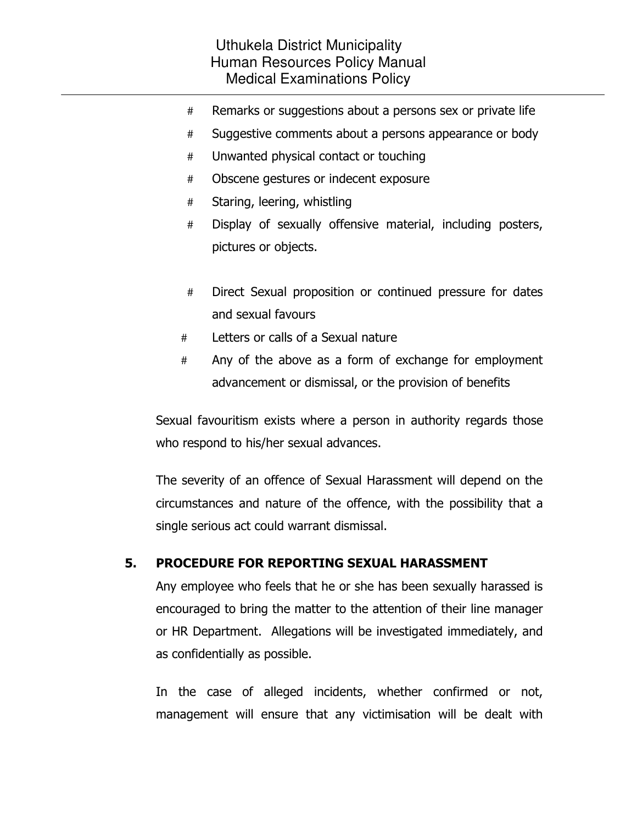- # Remarks or suggestions about a persons sex or private life
- # Suggestive comments about a persons appearance or body
- # Unwanted physical contact or touching
- # Obscene gestures or indecent exposure
- # Staring, leering, whistling
- # Display of sexually offensive material, including posters, pictures or objects.
- # Direct Sexual proposition or continued pressure for dates and sexual favours
- # Letters or calls of a Sexual nature
- # Any of the above as a form of exchange for employment advancement or dismissal, or the provision of benefits

Sexual favouritism exists where a person in authority regards those who respond to his/her sexual advances.

The severity of an offence of Sexual Harassment will depend on the circumstances and nature of the offence, with the possibility that a single serious act could warrant dismissal.

# 5. PROCEDURE FOR REPORTING SEXUAL HARASSMENT

Any employee who feels that he or she has been sexually harassed is encouraged to bring the matter to the attention of their line manager or HR Department. Allegations will be investigated immediately, and as confidentially as possible.

In the case of alleged incidents, whether confirmed or not, management will ensure that any victimisation will be dealt with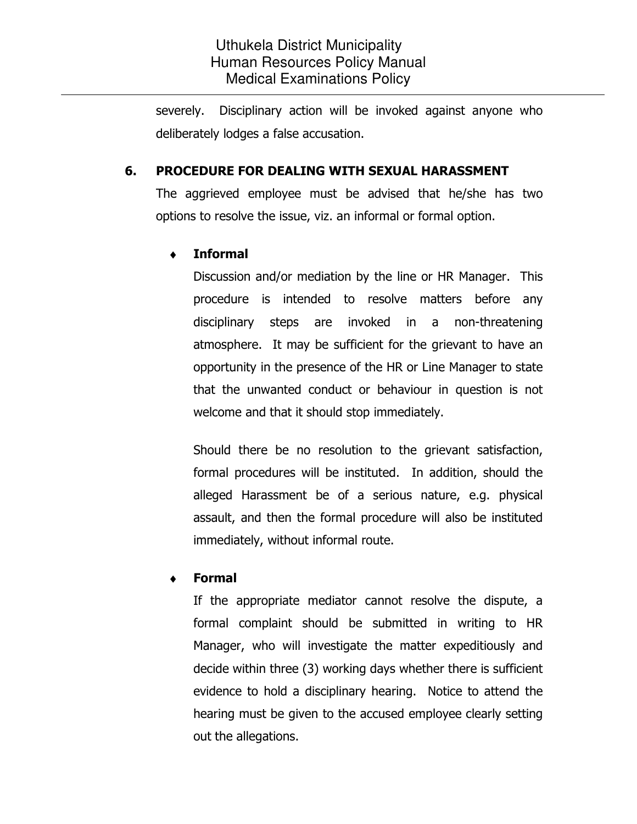severely. Disciplinary action will be invoked against anyone who deliberately lodges a false accusation.

#### 6. PROCEDURE FOR DEALING WITH SEXUAL HARASSMENT

The aggrieved employee must be advised that he/she has two options to resolve the issue, viz. an informal or formal option.

#### **Informal**

Discussion and/or mediation by the line or HR Manager. This procedure is intended to resolve matters before any disciplinary steps are invoked in a non-threatening atmosphere. It may be sufficient for the grievant to have an opportunity in the presence of the HR or Line Manager to state that the unwanted conduct or behaviour in question is not welcome and that it should stop immediately.

Should there be no resolution to the grievant satisfaction, formal procedures will be instituted. In addition, should the alleged Harassment be of a serious nature, e.g. physical assault, and then the formal procedure will also be instituted immediately, without informal route.

# **Formal**

If the appropriate mediator cannot resolve the dispute, a formal complaint should be submitted in writing to HR Manager, who will investigate the matter expeditiously and decide within three (3) working days whether there is sufficient evidence to hold a disciplinary hearing. Notice to attend the hearing must be given to the accused employee clearly setting out the allegations.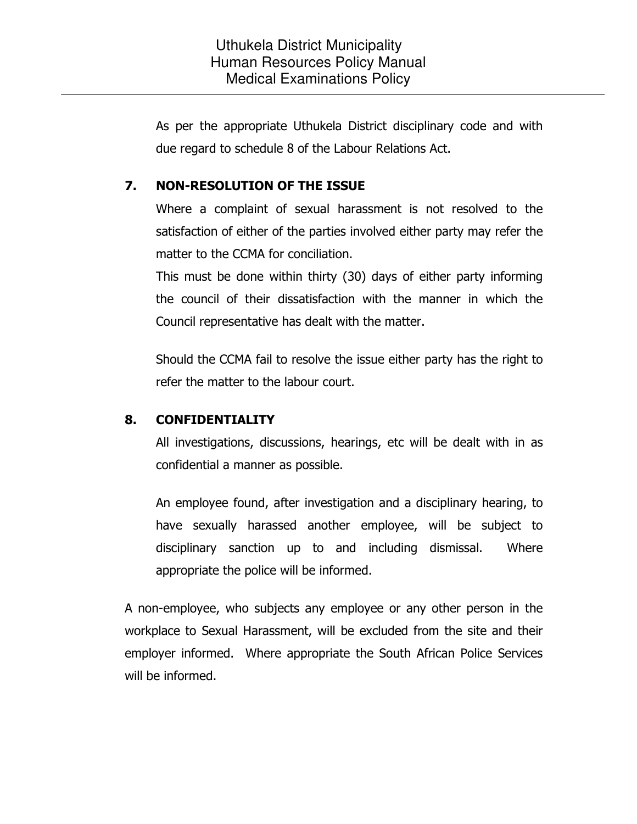As per the appropriate Uthukela District disciplinary code and with due regard to schedule 8 of the Labour Relations Act.

### 7. NON-RESOLUTION OF THE ISSUE

Where a complaint of sexual harassment is not resolved to the satisfaction of either of the parties involved either party may refer the matter to the CCMA for conciliation.

This must be done within thirty (30) days of either party informing the council of their dissatisfaction with the manner in which the Council representative has dealt with the matter.

Should the CCMA fail to resolve the issue either party has the right to refer the matter to the labour court.

#### 8. CONFIDENTIALITY

All investigations, discussions, hearings, etc will be dealt with in as confidential a manner as possible.

An employee found, after investigation and a disciplinary hearing, to have sexually harassed another employee, will be subject to disciplinary sanction up to and including dismissal. Where appropriate the police will be informed.

A non-employee, who subjects any employee or any other person in the workplace to Sexual Harassment, will be excluded from the site and their employer informed. Where appropriate the South African Police Services will be informed.